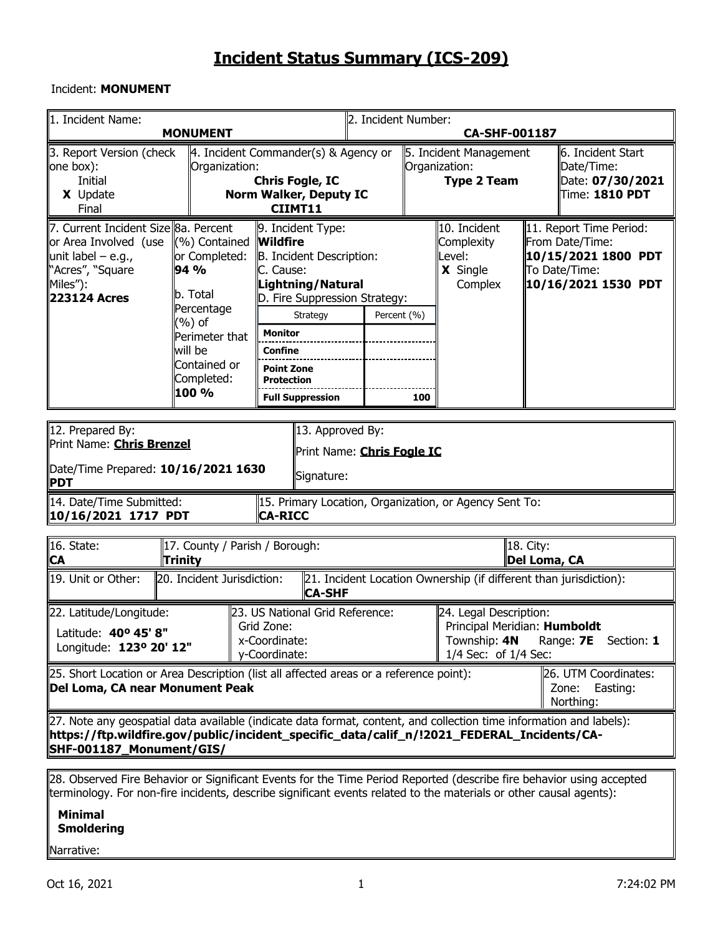### Incident: **MONUMENT**

| 1. Incident Name:                                                                                                                                                                                                                                   |                                                                                                                                                                        |                                                                                                                                                                                                                           |                                                                                                            | 2. Incident Number:<br>CA-SHF-001187 |              |                                                                   |                                                                                                             |                                                                                                     |  |  |
|-----------------------------------------------------------------------------------------------------------------------------------------------------------------------------------------------------------------------------------------------------|------------------------------------------------------------------------------------------------------------------------------------------------------------------------|---------------------------------------------------------------------------------------------------------------------------------------------------------------------------------------------------------------------------|------------------------------------------------------------------------------------------------------------|--------------------------------------|--------------|-------------------------------------------------------------------|-------------------------------------------------------------------------------------------------------------|-----------------------------------------------------------------------------------------------------|--|--|
|                                                                                                                                                                                                                                                     | <b>MONUMENT</b>                                                                                                                                                        |                                                                                                                                                                                                                           |                                                                                                            |                                      |              |                                                                   |                                                                                                             |                                                                                                     |  |  |
| 3. Report Version (check<br>one box):<br>Initial<br>X Update<br>Final                                                                                                                                                                               | Organization:                                                                                                                                                          |                                                                                                                                                                                                                           | 4. Incident Commander(s) & Agency or<br><b>Chris Fogle, IC</b><br><b>Norm Walker, Deputy IC</b><br>CIIMT11 |                                      |              | 5. Incident Management<br>Organization:<br><b>Type 2 Team</b>     |                                                                                                             | 6. Incident Start<br>Date/Time:<br>Date: 07/30/2021<br>$\textcolor{black}{\textsf{Time:}}$ 1810 PDT |  |  |
| 7. Current Incident Size 8a. Percent<br>or Area Involved (use<br>unit label – e.g.,<br>"Acres", "Square"<br>∥Miles"):<br>223124 Acres                                                                                                               | $\ \phi\ $ Contained <b>Wildfire</b><br>or Completed:<br>94 %<br>b. Total<br>Percentage<br>(%) of<br>Perimeter that<br>lwill be<br>Contained or<br>Completed:<br>100 % | 9. Incident Type:<br>B. Incident Description:<br>C. Cause:<br>Lightning/Natural<br>D. Fire Suppression Strategy:<br><b>Monitor</b><br><b>Confine</b><br><b>Point Zone</b><br><b>Protection</b><br><b>Full Suppression</b> | Strategy                                                                                                   | Percent (%)                          | 100          | 10. Incident<br>Complexity<br>Level:<br>X Single<br>Complex       | 11. Report Time Period:<br>From Date/Time:<br>  10/15/2021 1800 PDT<br>To Date/Time:<br>10/16/2021 1530 PDT |                                                                                                     |  |  |
| 12. Prepared By:<br>13. Approved By:<br>Print Name: <b>Chris Brenzel</b><br>Print Name: <b>Chris Fogle IC</b><br>Date/Time Prepared: 10/16/2021 1630<br>Signature:<br>∥PDT                                                                          |                                                                                                                                                                        |                                                                                                                                                                                                                           |                                                                                                            |                                      |              |                                                                   |                                                                                                             |                                                                                                     |  |  |
| 14. Date/Time Submitted:<br>10/16/2021 1717 PDT                                                                                                                                                                                                     |                                                                                                                                                                        | CA-RICC                                                                                                                                                                                                                   |                                                                                                            |                                      |              | 15. Primary Location, Organization, or Agency Sent To:            |                                                                                                             |                                                                                                     |  |  |
| 16. State:<br>∥CA                                                                                                                                                                                                                                   | 17. County / Parish / Borough:<br><b>Trinity</b>                                                                                                                       |                                                                                                                                                                                                                           |                                                                                                            |                                      | Del Loma, CA |                                                                   |                                                                                                             |                                                                                                     |  |  |
| 19. Unit or Other:                                                                                                                                                                                                                                  | 20. Incident Jurisdiction:                                                                                                                                             |                                                                                                                                                                                                                           | <b>CA-SHF</b>                                                                                              |                                      |              | 21. Incident Location Ownership (if different than jurisdiction): |                                                                                                             |                                                                                                     |  |  |
| 22. Latitude/Longitude:<br>Latitude: 40° 45' 8"<br>Longitude: 123º 20' 12"                                                                                                                                                                          | Grid Zone:<br>x-Coordinate:<br>y-Coordinate:                                                                                                                           |                                                                                                                                                                                                                           | 24. Legal Description:<br>23. US National Grid Reference:<br>Township: 4N<br>1/4 Sec: of 1/4 Sec:          |                                      |              | Principal Meridian: Humboldt<br>Range: <b>7E</b> Section: 1       |                                                                                                             |                                                                                                     |  |  |
| [25. Short Location or Area Description (list all affected areas or a reference point):<br>Del Loma, CA near Monument Peak                                                                                                                          |                                                                                                                                                                        |                                                                                                                                                                                                                           |                                                                                                            |                                      |              |                                                                   | 26. UTM Coordinates:<br>Zone:<br>Easting:<br>Northing:                                                      |                                                                                                     |  |  |
| $\ $ 27. Note any geospatial data available (indicate data format, content, and collection time information and labels):<br>https://ftp.wildfire.gov/public/incident_specific_data/calif_n/!2021_FEDERAL_Incidents/CA- <br>SHF-001187 Monument/GIS/ |                                                                                                                                                                        |                                                                                                                                                                                                                           |                                                                                                            |                                      |              |                                                                   |                                                                                                             |                                                                                                     |  |  |
| 28. Observed Fire Behavior or Significant Events for the Time Period Reported (describe fire behavior using accepted                                                                                                                                |                                                                                                                                                                        |                                                                                                                                                                                                                           |                                                                                                            |                                      |              |                                                                   |                                                                                                             |                                                                                                     |  |  |

terminology. For non-fire incidents, describe significant events related to the materials or other causal agents):

### **Minimal Smoldering**

## Narrative: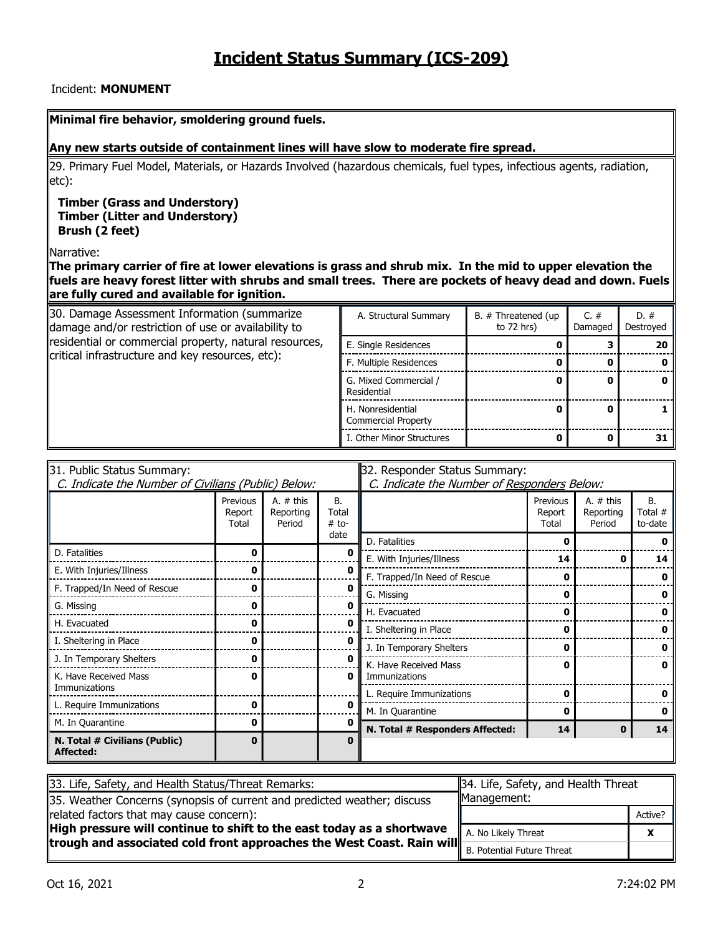### Incident: **MONUMENT**

#### **Minimal fire behavior, smoldering ground fuels.**

#### **Any new starts outside of containment lines will have slow to moderate fire spread.**

29. Primary Fuel Model, Materials, or Hazards Involved (hazardous chemicals, fuel types, infectious agents, radiation, etc):

#### **Timber (Grass and Understory) Timber (Litter and Understory) Brush (2 feet)**

Narrative:

**The primary carrier of fire at lower elevations is grass and shrub mix. In the mid to upper elevation the fuels are heavy forest litter with shrubs and small trees. There are pockets of heavy dead and down. Fuels are fully cured and available for ignition.**

| 30. Damage Assessment Information (summarize<br>damage and/or restriction of use or availability to | A. Structural Summary                           | B. # Threatened (up<br>to 72 hrs) | $C. \#$<br>Damaged | $D.$ #<br>Destroyed |
|-----------------------------------------------------------------------------------------------------|-------------------------------------------------|-----------------------------------|--------------------|---------------------|
| residential or commercial property, natural resources,                                              | E. Single Residences                            |                                   |                    | 20                  |
| critical infrastructure and key resources, etc):                                                    | F. Multiple Residences                          |                                   |                    |                     |
|                                                                                                     | G. Mixed Commercial /<br>Residential            |                                   |                    |                     |
|                                                                                                     | H. Nonresidential<br><b>Commercial Property</b> |                                   |                    |                     |
|                                                                                                     | I. Other Minor Structures                       |                                   |                    | 31                  |

| 31. Public Status Summary:                          |                             |                                  | 32. Responder Status Summary: |                                             |                             |                                    |                                   |  |  |  |  |
|-----------------------------------------------------|-----------------------------|----------------------------------|-------------------------------|---------------------------------------------|-----------------------------|------------------------------------|-----------------------------------|--|--|--|--|
| C. Indicate the Number of Civilians (Public) Below: |                             |                                  |                               | C. Indicate the Number of Responders Below: |                             |                                    |                                   |  |  |  |  |
|                                                     | Previous<br>Report<br>Total | A. # this<br>Reporting<br>Period | <b>B.</b><br>Total<br>$#$ to- |                                             | Previous<br>Report<br>Total | A. $#$ this<br>Reporting<br>Period | <b>B.</b><br>Total $#$<br>to-date |  |  |  |  |
|                                                     |                             |                                  | date                          | D. Fatalities                               |                             |                                    |                                   |  |  |  |  |
| D. Fatalities                                       | 0                           |                                  |                               | E. With Injuries/Illness                    | 14                          |                                    | 14                                |  |  |  |  |
| E. With Injuries/Illness                            | O                           |                                  | n                             | F. Trapped/In Need of Rescue                | 0                           |                                    |                                   |  |  |  |  |
| F. Trapped/In Need of Rescue                        | 0                           |                                  | n                             | G. Missing                                  | 0                           |                                    |                                   |  |  |  |  |
| G. Missing                                          | O                           |                                  | n                             | H. Evacuated                                | O                           |                                    |                                   |  |  |  |  |
| H. Evacuated                                        | 0                           |                                  | n                             | I. Sheltering in Place                      | ŋ                           |                                    |                                   |  |  |  |  |
| I. Sheltering in Place                              | 0                           |                                  | 0                             | J. In Temporary Shelters                    | 0                           |                                    |                                   |  |  |  |  |
| J. In Temporary Shelters                            |                             |                                  | Ω                             | K. Have Received Mass                       |                             |                                    |                                   |  |  |  |  |
| K. Have Received Mass<br>Ω                          |                             |                                  | 0                             | Immunizations                               | 0                           |                                    | n                                 |  |  |  |  |
| Immunizations<br>L. Require Immunizations<br>0      |                             |                                  | L. Require Immunizations      | 0                                           |                             |                                    |                                   |  |  |  |  |
|                                                     |                             |                                  | 0                             | M. In Quarantine                            | 0                           |                                    |                                   |  |  |  |  |
| M. In Quarantine                                    | 0                           |                                  | o                             | N. Total # Responders Affected:             | 14                          | 0                                  | 14                                |  |  |  |  |
| N. Total # Civilians (Public)<br>Affected:          | 0                           |                                  | n                             |                                             |                             |                                    |                                   |  |  |  |  |

| 33. Life, Safety, and Health Status/Threat Remarks:                                              | 34. Life, Safety, and Health Threat |         |  |  |  |
|--------------------------------------------------------------------------------------------------|-------------------------------------|---------|--|--|--|
| 35. Weather Concerns (synopsis of current and predicted weather; discuss                         | Management:                         |         |  |  |  |
| related factors that may cause concern):                                                         |                                     | Active? |  |  |  |
| High pressure will continue to shift to the east today as a shortwave                            | A. No Likely Threat                 |         |  |  |  |
| trig presence the extractor of the proaches the West Coast. Rain will B. Potential Future Threat |                                     |         |  |  |  |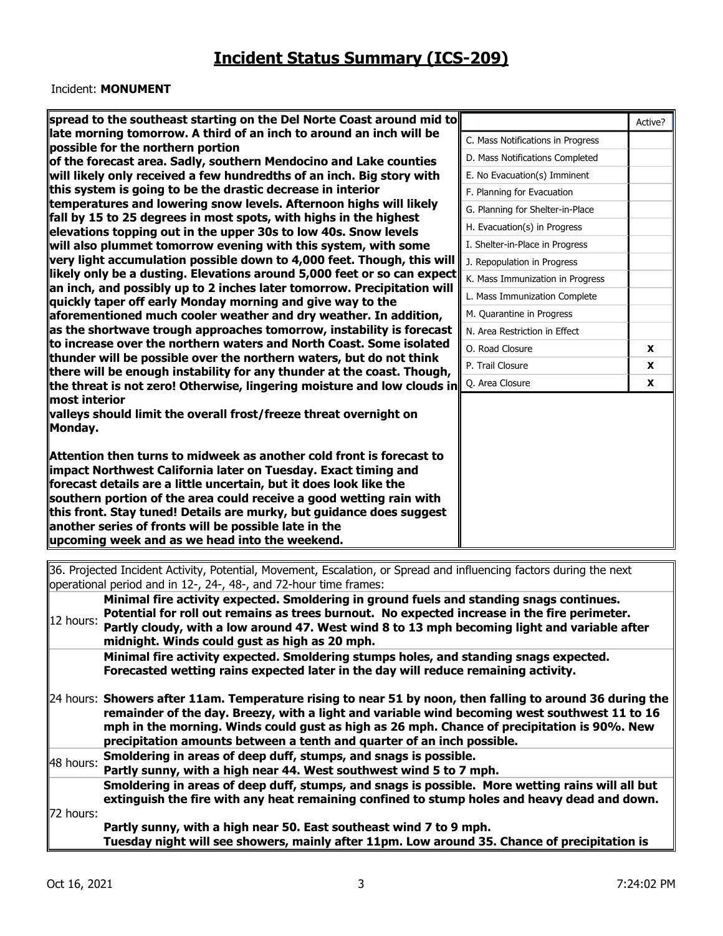Incident: **MONUMENT**

| spread to the southeast starting on the Del Norte Coast around mid to                                                                                                                                        |                                   | Active? |  |  |  |
|--------------------------------------------------------------------------------------------------------------------------------------------------------------------------------------------------------------|-----------------------------------|---------|--|--|--|
| late morning tomorrow. A third of an inch to around an inch will be<br>possible for the northern portion                                                                                                     | C. Mass Notifications in Progress |         |  |  |  |
| of the forecast area. Sadly, southern Mendocino and Lake counties                                                                                                                                            | D. Mass Notifications Completed   |         |  |  |  |
| will likely only received a few hundredths of an inch. Big story with                                                                                                                                        | E. No Evacuation(s) Imminent      |         |  |  |  |
| this system is going to be the drastic decrease in interior                                                                                                                                                  | F. Planning for Evacuation        |         |  |  |  |
| temperatures and lowering snow levels. Afternoon highs will likely                                                                                                                                           | G. Planning for Shelter-in-Place  |         |  |  |  |
| $\ $ fall by 15 to 25 degrees in most spots, with highs in the highest                                                                                                                                       | H. Evacuation(s) in Progress      |         |  |  |  |
| elevations topping out in the upper 30s to low 40s. Snow levels<br>will also plummet tomorrow evening with this system, with some                                                                            | I. Shelter-in-Place in Progress   |         |  |  |  |
| $\,$ very light accumulation possible down to 4,000 feet. Though, this will                                                                                                                                  | J. Repopulation in Progress       |         |  |  |  |
| likely only be a dusting. Elevations around 5,000 feet or so can expect                                                                                                                                      |                                   |         |  |  |  |
| an inch, and possibly up to 2 inches later tomorrow. Precipitation will                                                                                                                                      | K. Mass Immunization in Progress  |         |  |  |  |
| quickly taper off early Monday morning and give way to the                                                                                                                                                   | L. Mass Immunization Complete     |         |  |  |  |
| aforementioned much cooler weather and dry weather. In addition,                                                                                                                                             | M. Quarantine in Progress         |         |  |  |  |
| $\parallel$ as the shortwave trough approaches tomorrow, instability is forecast                                                                                                                             | N. Area Restriction in Effect     |         |  |  |  |
| to increase over the northern waters and North Coast. Some isolated<br>thunder will be possible over the northern waters, but do not think                                                                   | O. Road Closure                   | X       |  |  |  |
| there will be enough instability for any thunder at the coast. Though,                                                                                                                                       | P. Trail Closure                  | X       |  |  |  |
| the threat is not zero! Otherwise, lingering moisture and low clouds in                                                                                                                                      | Q. Area Closure                   | X       |  |  |  |
| $\sf{l}$ most interior                                                                                                                                                                                       |                                   |         |  |  |  |
| valleys should limit the overall frost/freeze threat overnight on                                                                                                                                            |                                   |         |  |  |  |
| Monday.                                                                                                                                                                                                      |                                   |         |  |  |  |
|                                                                                                                                                                                                              |                                   |         |  |  |  |
| Attention then turns to midweek as another cold front is forecast to<br>impact Northwest California later on Tuesday. Exact timing and                                                                       |                                   |         |  |  |  |
| forecast details are a little uncertain, but it does look like the                                                                                                                                           |                                   |         |  |  |  |
| southern portion of the area could receive a good wetting rain with                                                                                                                                          |                                   |         |  |  |  |
| this front. Stay tuned! Details are murky, but guidance does suggest                                                                                                                                         |                                   |         |  |  |  |
| another series of fronts will be possible late in the                                                                                                                                                        |                                   |         |  |  |  |
| upcoming week and as we head into the weekend.                                                                                                                                                               |                                   |         |  |  |  |
|                                                                                                                                                                                                              |                                   |         |  |  |  |
| 36. Projected Incident Activity, Potential, Movement, Escalation, or Spread and influencing factors during the next<br>operational period and in 12-, 24-, 48-, and 72-hour time frames:                     |                                   |         |  |  |  |
| Minimal fire activity expected. Smoldering in ground fuels and standing snags continues.                                                                                                                     |                                   |         |  |  |  |
| Potential for roll out remains as trees burnout. No expected increase in the fire perimeter.                                                                                                                 |                                   |         |  |  |  |
| 12 hours:<br>Partly cloudy, with a low around 47. West wind 8 to 13 mph becoming light and variable after                                                                                                    |                                   |         |  |  |  |
| midnight. Winds could gust as high as 20 mph.                                                                                                                                                                |                                   |         |  |  |  |
| Minimal fire activity expected. Smoldering stumps holes, and standing snags expected.                                                                                                                        |                                   |         |  |  |  |
| Forecasted wetting rains expected later in the day will reduce remaining activity.                                                                                                                           |                                   |         |  |  |  |
|                                                                                                                                                                                                              |                                   |         |  |  |  |
| $24$ hours: Showers after 11am. Temperature rising to near 51 by noon, then falling to around 36 during the<br>remainder of the day. Breezy, with a light and variable wind becoming west southwest 11 to 16 |                                   |         |  |  |  |
|                                                                                                                                                                                                              |                                   |         |  |  |  |

Oct 16, 2021 2.4:02 PM

72 hours:

**mph in the morning. Winds could gust as high as 26 mph. Chance of precipitation is 90%. New** 

**Smoldering in areas of deep duff, stumps, and snags is possible. More wetting rains will all but extinguish the fire with any heat remaining confined to stump holes and heavy dead and down.** 

**Tuesday night will see showers, mainly after 11pm. Low around 35. Chance of precipitation is** 

**precipitation amounts between a tenth and quarter of an inch possible.**

**Partly sunny, with a high near 44. West southwest wind 5 to 7 mph.**

**Partly sunny, with a high near 50. East southeast wind 7 to 9 mph.** 

48 hours: **Smoldering in areas of deep duff, stumps, and snags is possible.**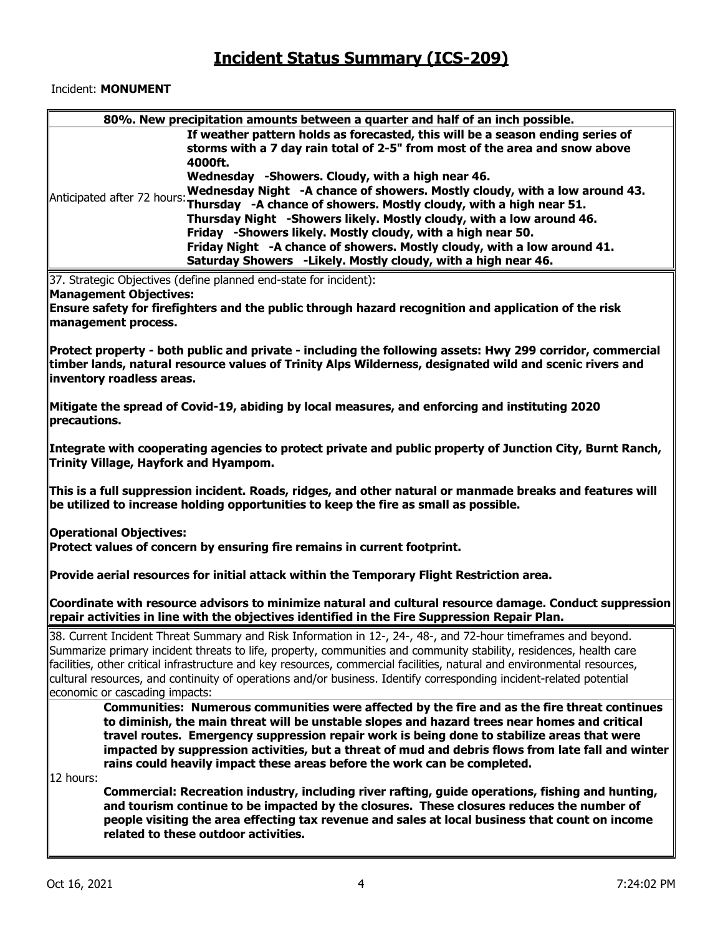### Incident: **MONUMENT**

| 80%. New precipitation amounts between a quarter and half of an inch possible.                                                                                                                           |
|----------------------------------------------------------------------------------------------------------------------------------------------------------------------------------------------------------|
| If weather pattern holds as forecasted, this will be a season ending series of                                                                                                                           |
| storms with a 7 day rain total of 2-5" from most of the area and snow above                                                                                                                              |
| 4000ft.                                                                                                                                                                                                  |
| Wednesday -Showers. Cloudy, with a high near 46.                                                                                                                                                         |
| Wednesday Night -A chance of showers. Mostly cloudy, with a low around 43.<br>Anticipated after 72 hours:<br>Thursday -A chance of showers. Mostly cloudy, with a high near 51.                          |
| Thursday Night -Showers likely. Mostly cloudy, with a low around 46.                                                                                                                                     |
| Friday -Showers likely. Mostly cloudy, with a high near 50.                                                                                                                                              |
| Friday Night -A chance of showers. Mostly cloudy, with a low around 41.                                                                                                                                  |
| Saturday Showers -Likely. Mostly cloudy, with a high near 46.                                                                                                                                            |
| 37. Strategic Objectives (define planned end-state for incident):                                                                                                                                        |
| Management Objectives:                                                                                                                                                                                   |
| Ensure safety for firefighters and the public through hazard recognition and application of the risk                                                                                                     |
| management process.                                                                                                                                                                                      |
|                                                                                                                                                                                                          |
| Protect property - both public and private - including the following assets: Hwy 299 corridor, commercial                                                                                                |
| timber lands, natural resource values of Trinity Alps Wilderness, designated wild and scenic rivers and                                                                                                  |
| inventory roadless areas.                                                                                                                                                                                |
|                                                                                                                                                                                                          |
| Mitigate the spread of Covid-19, abiding by local measures, and enforcing and instituting 2020                                                                                                           |
| precautions.                                                                                                                                                                                             |
|                                                                                                                                                                                                          |
| Integrate with cooperating agencies to protect private and public property of Junction City, Burnt Ranch,<br>Trinity Village, Hayfork and Hyampom.                                                       |
|                                                                                                                                                                                                          |
| This is a full suppression incident. Roads, ridges, and other natural or manmade breaks and features will<br>be utilized to increase holding opportunities to keep the fire as small as possible.        |
|                                                                                                                                                                                                          |
| <b>Operational Objectives:</b>                                                                                                                                                                           |
| Protect values of concern by ensuring fire remains in current footprint.                                                                                                                                 |
| Provide aerial resources for initial attack within the Temporary Flight Restriction area.                                                                                                                |
|                                                                                                                                                                                                          |
| Coordinate with resource advisors to minimize natural and cultural resource damage. Conduct suppression<br>repair activities in line with the objectives identified in the Fire Suppression Repair Plan. |
|                                                                                                                                                                                                          |
| 38. Current Incident Threat Summary and Risk Information in 12-, 24-, 48-, and 72-hour timeframes and beyond.                                                                                            |
| Summarize primary incident threats to life, property, communities and community stability, residences, health care                                                                                       |
| facilities, other critical infrastructure and key resources, commercial facilities, natural and environmental resources,                                                                                 |
| cultural resources, and continuity of operations and/or business. Identify corresponding incident-related potential                                                                                      |
| economic or cascading impacts:                                                                                                                                                                           |
| Communities: Numerous communities were affected by the fire and as the fire threat continues                                                                                                             |
|                                                                                                                                                                                                          |
| to diminish, the main threat will be unstable slopes and hazard trees near homes and critical                                                                                                            |
| travel routes. Emergency suppression repair work is being done to stabilize areas that were                                                                                                              |
| impacted by suppression activities, but a threat of mud and debris flows from late fall and winter                                                                                                       |
| rains could heavily impact these areas before the work can be completed.                                                                                                                                 |
| 12 hours:                                                                                                                                                                                                |
| Commercial: Recreation industry, including river rafting, guide operations, fishing and hunting,                                                                                                         |
| and tourism continue to be impacted by the closures. These closures reduces the number of                                                                                                                |
| people visiting the area effecting tax revenue and sales at local business that count on income<br>related to these outdoor activities.                                                                  |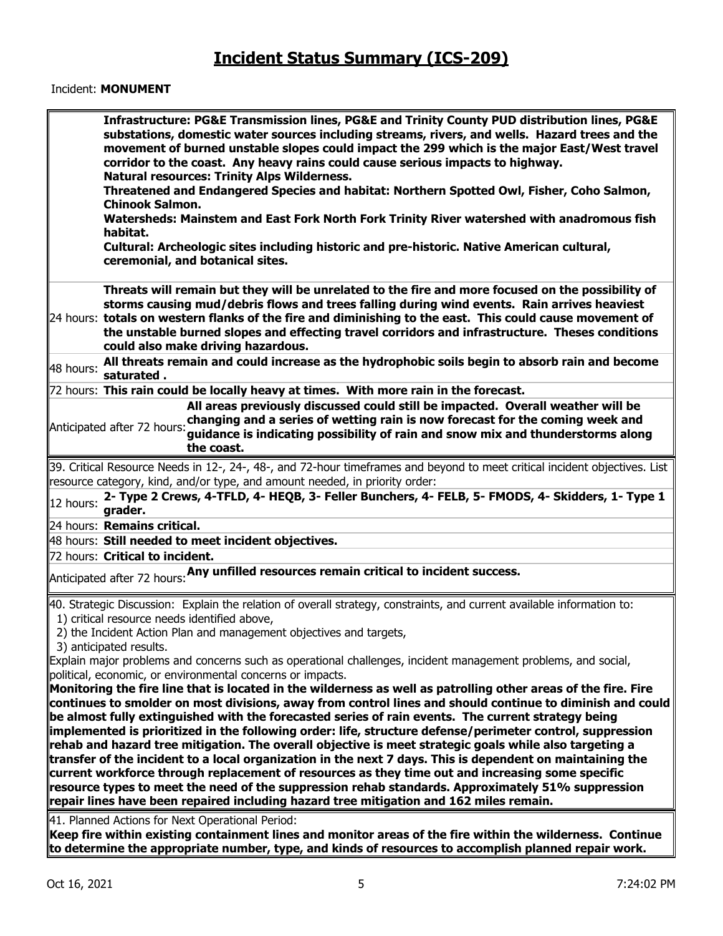### Incident: **MONUMENT**

| habitat.                    | Infrastructure: PG&E Transmission lines, PG&E and Trinity County PUD distribution lines, PG&E<br>substations, domestic water sources including streams, rivers, and wells. Hazard trees and the<br>movement of burned unstable slopes could impact the 299 which is the major East/West travel<br>corridor to the coast. Any heavy rains could cause serious impacts to highway.<br><b>Natural resources: Trinity Alps Wilderness.</b><br>Threatened and Endangered Species and habitat: Northern Spotted Owl, Fisher, Coho Salmon,<br><b>Chinook Salmon.</b><br>Watersheds: Mainstem and East Fork North Fork Trinity River watershed with anadromous fish<br>Cultural: Archeologic sites including historic and pre-historic. Native American cultural,<br>ceremonial, and botanical sites. |
|-----------------------------|-----------------------------------------------------------------------------------------------------------------------------------------------------------------------------------------------------------------------------------------------------------------------------------------------------------------------------------------------------------------------------------------------------------------------------------------------------------------------------------------------------------------------------------------------------------------------------------------------------------------------------------------------------------------------------------------------------------------------------------------------------------------------------------------------|
|                             | Threats will remain but they will be unrelated to the fire and more focused on the possibility of<br>storms causing mud/debris flows and trees falling during wind events. Rain arrives heaviest<br>$24$ hours: totals on western flanks of the fire and diminishing to the east. This could cause movement of<br>the unstable burned slopes and effecting travel corridors and infrastructure. Theses conditions<br>could also make driving hazardous.                                                                                                                                                                                                                                                                                                                                       |
| 48 hours:                   | All threats remain and could increase as the hydrophobic soils begin to absorb rain and become                                                                                                                                                                                                                                                                                                                                                                                                                                                                                                                                                                                                                                                                                                |
|                             | saturated.                                                                                                                                                                                                                                                                                                                                                                                                                                                                                                                                                                                                                                                                                                                                                                                    |
|                             | 72 hours: This rain could be locally heavy at times. With more rain in the forecast.<br>All areas previously discussed could still be impacted. Overall weather will be                                                                                                                                                                                                                                                                                                                                                                                                                                                                                                                                                                                                                       |
| Anticipated after 72 hours: | changing and a series of wetting rain is now forecast for the coming week and<br>guidance is indicating possibility of rain and snow mix and thunderstorms along<br>the coast.                                                                                                                                                                                                                                                                                                                                                                                                                                                                                                                                                                                                                |
|                             | 39. Critical Resource Needs in 12-, 24-, 48-, and 72-hour timeframes and beyond to meet critical incident objectives. List                                                                                                                                                                                                                                                                                                                                                                                                                                                                                                                                                                                                                                                                    |
|                             | resource category, kind, and/or type, and amount needed, in priority order:                                                                                                                                                                                                                                                                                                                                                                                                                                                                                                                                                                                                                                                                                                                   |
| 12 hours:<br>grader.        | 2- Type 2 Crews, 4-TFLD, 4- HEQB, 3- Feller Bunchers, 4- FELB, 5- FMODS, 4- Skidders, 1- Type 1                                                                                                                                                                                                                                                                                                                                                                                                                                                                                                                                                                                                                                                                                               |
| 24 hours: Remains critical. |                                                                                                                                                                                                                                                                                                                                                                                                                                                                                                                                                                                                                                                                                                                                                                                               |
|                             | 48 hours: Still needed to meet incident objectives.                                                                                                                                                                                                                                                                                                                                                                                                                                                                                                                                                                                                                                                                                                                                           |
|                             | 72 hours: Critical to incident.                                                                                                                                                                                                                                                                                                                                                                                                                                                                                                                                                                                                                                                                                                                                                               |
|                             | Anticipated after 72 hours: Any unfilled resources remain critical to incident success.                                                                                                                                                                                                                                                                                                                                                                                                                                                                                                                                                                                                                                                                                                       |
|                             | 40. Strategic Discussion: Explain the relation of overall strategy, constraints, and current available information to:                                                                                                                                                                                                                                                                                                                                                                                                                                                                                                                                                                                                                                                                        |
|                             | 1) critical resource needs identified above,<br>2) the Incident Action Plan and management objectives and targets,                                                                                                                                                                                                                                                                                                                                                                                                                                                                                                                                                                                                                                                                            |
| 3) anticipated results.     |                                                                                                                                                                                                                                                                                                                                                                                                                                                                                                                                                                                                                                                                                                                                                                                               |
|                             | Explain major problems and concerns such as operational challenges, incident management problems, and social,                                                                                                                                                                                                                                                                                                                                                                                                                                                                                                                                                                                                                                                                                 |
|                             | political, economic, or environmental concerns or impacts.                                                                                                                                                                                                                                                                                                                                                                                                                                                                                                                                                                                                                                                                                                                                    |
|                             | $\,$ Monitoring the fire line that is located in the wilderness as well as patrolling other areas of the fire. Fire                                                                                                                                                                                                                                                                                                                                                                                                                                                                                                                                                                                                                                                                           |
|                             | $\,$ continues to smolder on most divisions, away from control lines and should continue to diminish and could                                                                                                                                                                                                                                                                                                                                                                                                                                                                                                                                                                                                                                                                                |
|                             | $\,$ be almost fully extinguished with the forecasted series of rain events. The current strategy being<br>implemented is prioritized in the following order: life, structure defense/perimeter control, suppression #                                                                                                                                                                                                                                                                                                                                                                                                                                                                                                                                                                        |
|                             | $\parallel$ rehab and hazard tree mitigation. The overall objective is meet strategic goals while also targeting a                                                                                                                                                                                                                                                                                                                                                                                                                                                                                                                                                                                                                                                                            |
|                             | $ $ transfer of the incident to a local organization in the next 7 days. This is dependent on maintaining the                                                                                                                                                                                                                                                                                                                                                                                                                                                                                                                                                                                                                                                                                 |
|                             | $ $ current workforce through replacement of resources as they time out and increasing some specific                                                                                                                                                                                                                                                                                                                                                                                                                                                                                                                                                                                                                                                                                          |
|                             | $\parallel$ resource types to meet the need of the suppression rehab standards. Approximately 51% suppression<br>repair lines have been repaired including hazard tree mitigation and 162 miles remain.                                                                                                                                                                                                                                                                                                                                                                                                                                                                                                                                                                                       |
|                             | 41. Planned Actions for Next Operational Period:                                                                                                                                                                                                                                                                                                                                                                                                                                                                                                                                                                                                                                                                                                                                              |
|                             | Keep fire within existing containment lines and monitor areas of the fire within the wilderness. Continue<br>to determine the appropriate number, type, and kinds of resources to accomplish planned repair work.                                                                                                                                                                                                                                                                                                                                                                                                                                                                                                                                                                             |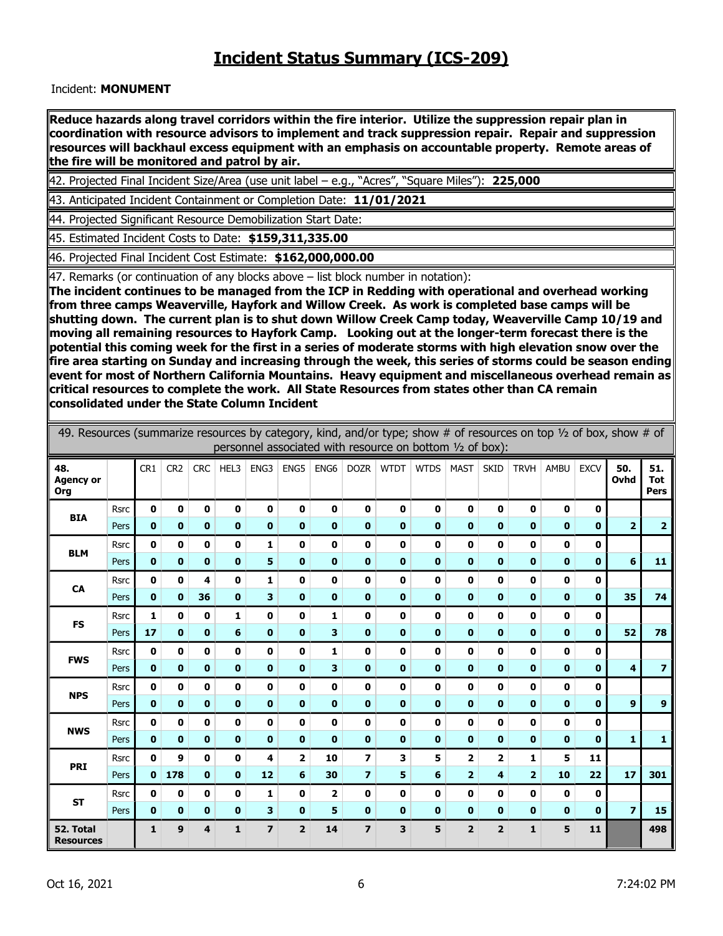### Incident: **MONUMENT**

**Reduce hazards along travel corridors within the fire interior. Utilize the suppression repair plan in coordination with resource advisors to implement and track suppression repair. Repair and suppression resources will backhaul excess equipment with an emphasis on accountable property. Remote areas of the fire will be monitored and patrol by air.**

42. Projected Final Incident Size/Area (use unit label – e.g., "Acres", "Square Miles"): **225,000**

43. Anticipated Incident Containment or Completion Date: **11/01/2021**

44. Projected Significant Resource Demobilization Start Date:

45. Estimated Incident Costs to Date: **\$159,311,335.00**

46. Projected Final Incident Cost Estimate: **\$162,000,000.00**

47. Remarks (or continuation of any blocks above – list block number in notation):

**The incident continues to be managed from the ICP in Redding with operational and overhead working from three camps Weaverville, Hayfork and Willow Creek. As work is completed base camps will be shutting down. The current plan is to shut down Willow Creek Camp today, Weaverville Camp 10/19 and moving all remaining resources to Hayfork Camp. Looking out at the longer-term forecast there is the potential this coming week for the first in a series of moderate storms with high elevation snow over the fire area starting on Sunday and increasing through the week, this series of storms could be season ending event for most of Northern California Mountains. Heavy equipment and miscellaneous overhead remain as critical resources to complete the work. All State Resources from states other than CA remain consolidated under the State Column Incident** 

49. Resources (summarize resources by category, kind, and/or type; show # of resources on top  $\frac{1}{2}$  of box, show # of

| personnel associated with resource on bottom 1/2 of box): |             |                 |                 |              |              |                |                         |              |                |              |             |                |                |                |              |              |                         |                           |
|-----------------------------------------------------------|-------------|-----------------|-----------------|--------------|--------------|----------------|-------------------------|--------------|----------------|--------------|-------------|----------------|----------------|----------------|--------------|--------------|-------------------------|---------------------------|
| 48.<br><b>Agency or</b><br>Org                            |             | CR <sub>1</sub> | CR <sub>2</sub> | <b>CRC</b>   | HEL3         | ENG3           | ENG5                    | ENG6         | <b>DOZR</b>    | <b>WTDT</b>  | <b>WTDS</b> | <b>MAST</b>    | <b>SKID</b>    | <b>TRVH</b>    | AMBU         | <b>EXCV</b>  | 50.<br>Ovhd             | 51.<br>Tot<br><b>Pers</b> |
| <b>BIA</b>                                                | <b>Rsrc</b> | $\mathbf 0$     | 0               | $\mathbf 0$  | $\mathbf 0$  | $\mathbf 0$    | 0                       | $\mathbf 0$  | $\mathbf 0$    | 0            | $\mathbf 0$ | $\mathbf 0$    | $\mathbf 0$    | 0              | $\mathbf 0$  | 0            |                         |                           |
|                                                           | Pers        | $\mathbf 0$     | $\mathbf 0$     | $\mathbf 0$  | $\mathbf 0$  | $\mathbf 0$    | $\mathbf 0$             | $\mathbf 0$  | $\mathbf 0$    | $\mathbf 0$  | $\mathbf 0$ | $\mathbf{0}$   | $\mathbf 0$    | $\mathbf{0}$   | $\mathbf{0}$ | $\mathbf{0}$ | $\overline{2}$          | $\overline{2}$            |
| <b>BLM</b>                                                | <b>Rsrc</b> | $\mathbf 0$     | 0               | 0            | $\mathbf 0$  | 1              | 0                       | $\mathbf 0$  | 0              | 0            | $\mathbf 0$ | $\mathbf 0$    | $\mathbf 0$    | 0              | 0            | 0            |                         |                           |
|                                                           | Pers        | $\bf{0}$        | $\mathbf 0$     | $\mathbf 0$  | $\mathbf 0$  | 5              | $\mathbf 0$             | $\mathbf 0$  | $\mathbf 0$    | $\mathbf 0$  | $\mathbf 0$ | $\mathbf 0$    | $\mathbf 0$    | $\mathbf{0}$   | $\mathbf{0}$ | $\mathbf 0$  | 6                       | 11                        |
| CA                                                        | <b>Rsrc</b> | $\mathbf 0$     | 0               | 4            | $\mathbf 0$  | 1              | 0                       | $\mathbf 0$  | 0              | 0            | 0           | $\pmb{0}$      | 0              | 0              | 0            | 0            |                         |                           |
|                                                           | Pers        | $\mathbf 0$     | $\mathbf{0}$    | 36           | $\mathbf 0$  | 3              | $\pmb{0}$               | $\mathbf 0$  | $\mathbf 0$    | $\mathbf 0$  | $\bf{0}$    | $\pmb{0}$      | $\mathbf 0$    | $\mathbf 0$    | $\pmb{0}$    | $\mathbf{0}$ | 35                      | 74                        |
| <b>FS</b>                                                 | <b>Rsrc</b> | $\mathbf{1}$    | $\mathbf 0$     | 0            | 1            | 0              | 0                       | $\mathbf{1}$ | 0              | 0            | $\mathbf 0$ | $\mathbf 0$    | 0              | $\mathbf 0$    | 0            | $\mathbf 0$  |                         |                           |
|                                                           | Pers        | 17              | $\mathbf{0}$    | $\mathbf{0}$ | 6            | $\mathbf 0$    | $\pmb{0}$               | 3            | $\pmb{0}$      | $\pmb{0}$    | $\pmb{0}$   | $\pmb{0}$      | $\pmb{0}$      | $\pmb{0}$      | $\mathbf{0}$ | $\mathbf{0}$ | 52                      | 78                        |
| <b>FWS</b>                                                | <b>Rsrc</b> | $\mathbf 0$     | 0               | 0            | $\mathbf 0$  | $\mathbf 0$    | 0                       | 1            | $\mathbf 0$    | 0            | $\mathbf 0$ | $\mathbf 0$    | 0              | 0              | 0            | 0            |                         |                           |
|                                                           | Pers        | $\mathbf 0$     | $\mathbf 0$     | $\mathbf 0$  | $\mathbf 0$  | $\mathbf 0$    | $\pmb{0}$               | 3            | $\pmb{0}$      | $\pmb{0}$    | $\pmb{0}$   | $\pmb{0}$      | $\pmb{0}$      | $\pmb{0}$      | $\mathbf 0$  | $\mathbf{0}$ | $\overline{\mathbf{4}}$ | $\overline{7}$            |
| <b>NPS</b>                                                | <b>Rsrc</b> | $\mathbf 0$     | $\mathbf 0$     | $\mathbf{0}$ | $\mathbf{0}$ | $\mathbf 0$    | 0                       | $\mathbf 0$  | 0              | 0            | 0           | $\mathbf 0$    | 0              | 0              | 0            | 0            |                         |                           |
|                                                           | Pers        | $\mathbf{0}$    | $\mathbf{0}$    | $\mathbf 0$  | $\mathbf 0$  | $\mathbf{0}$   | $\pmb{0}$               | $\pmb{0}$    | $\pmb{0}$      | $\pmb{0}$    | $\mathbf 0$ | $\mathbf{0}$   | $\pmb{0}$      | $\mathbf 0$    | $\mathbf 0$  | $\mathbf{0}$ | $\mathbf{9}$            | $\mathbf{9}$              |
| <b>NWS</b>                                                | <b>Rsrc</b> | $\mathbf 0$     | 0               | 0            | $\mathbf 0$  | $\mathbf 0$    | 0                       | $\mathbf 0$  | 0              | 0            | $\mathbf 0$ | $\mathbf 0$    | 0              | 0              | 0            | 0            |                         |                           |
|                                                           | Pers        | $\mathbf 0$     | $\mathbf{0}$    | $\mathbf 0$  | $\mathbf 0$  | $\mathbf 0$    | $\mathbf 0$             | $\mathbf 0$  | $\mathbf 0$    | $\mathbf{0}$ | $\mathbf 0$ | $\mathbf 0$    | $\mathbf 0$    | $\mathbf{0}$   | $\mathbf 0$  | $\mathbf 0$  | $\mathbf{1}$            | $\mathbf{1}$              |
| <b>PRI</b>                                                | <b>Rsrc</b> | $\mathbf 0$     | 9               | $\mathbf{0}$ | $\mathbf 0$  | 4              | $\overline{\mathbf{2}}$ | 10           | $\overline{z}$ | 3            | 5           | $\overline{2}$ | $\overline{2}$ | 1              | 5            | 11           |                         |                           |
|                                                           | Pers        | $\mathbf 0$     | 178             | $\mathbf{0}$ | $\mathbf{0}$ | 12             | 6                       | 30           | $\overline{z}$ | 5            | 6           | $\overline{2}$ | 4              | $\overline{2}$ | 10           | 22           | 17                      | 301                       |
| <b>ST</b>                                                 | <b>Rsrc</b> | $\mathbf 0$     | 0               | 0            | $\mathbf 0$  | 1              | 0                       | 2            | 0              | 0            | 0           | $\pmb{0}$      | 0              | 0              | 0            | 0            |                         |                           |
|                                                           | Pers        | $\mathbf 0$     | $\mathbf{0}$    | $\mathbf{0}$ | $\mathbf{0}$ | 3              | $\mathbf 0$             | 5            | $\pmb{0}$      | $\pmb{0}$    | $\mathbf 0$ | $\pmb{0}$      | $\pmb{0}$      | $\pmb{0}$      | $\pmb{0}$    | $\mathbf{0}$ | $\overline{7}$          | 15                        |
| 52. Total<br><b>Resources</b>                             |             | $\mathbf{1}$    | 9               | 4            | $\mathbf{1}$ | $\overline{z}$ | $\overline{2}$          | 14           | $\overline{7}$ | 3            | 5           | $\overline{2}$ | $\overline{2}$ | $\mathbf{1}$   | 5            | 11           |                         | 498                       |